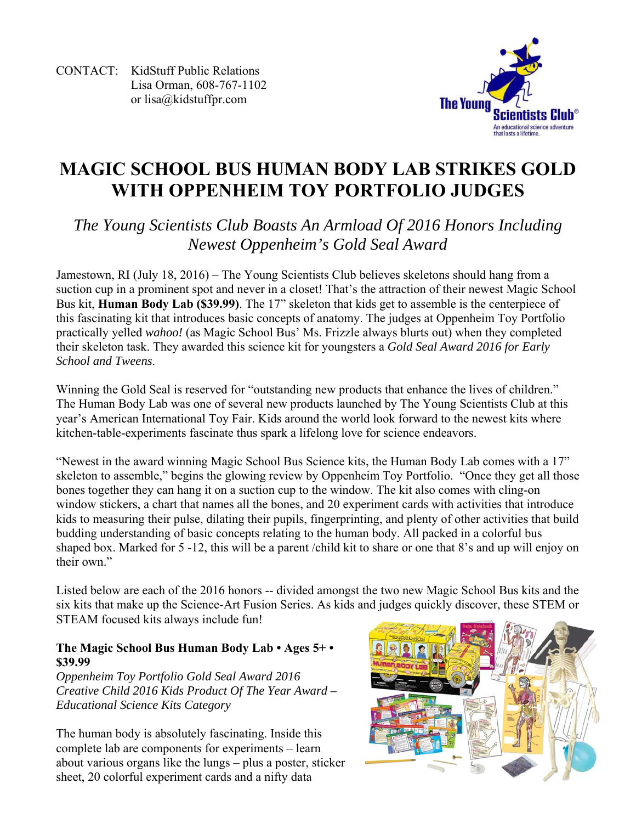CONTACT: KidStuff Public Relations Lisa Orman, 608-767-1102 or lisa@kidstuffpr.com



# **MAGIC SCHOOL BUS HUMAN BODY LAB STRIKES GOLD WITH OPPENHEIM TOY PORTFOLIO JUDGES**

# *The Young Scientists Club Boasts An Armload Of 2016 Honors Including Newest Oppenheim's Gold Seal Award*

Jamestown, RI (July 18, 2016) – The Young Scientists Club believes skeletons should hang from a suction cup in a prominent spot and never in a closet! That's the attraction of their newest Magic School Bus kit, **Human Body Lab (\$39.99)**. The 17" skeleton that kids get to assemble is the centerpiece of this fascinating kit that introduces basic concepts of anatomy. The judges at Oppenheim Toy Portfolio practically yelled *wahoo!* (as Magic School Bus' Ms. Frizzle always blurts out) when they completed their skeleton task. They awarded this science kit for youngsters a *Gold Seal Award 2016 for Early School and Tweens*.

Winning the Gold Seal is reserved for "outstanding new products that enhance the lives of children." The Human Body Lab was one of several new products launched by The Young Scientists Club at this year's American International Toy Fair. Kids around the world look forward to the newest kits where kitchen-table-experiments fascinate thus spark a lifelong love for science endeavors.

"Newest in the award winning Magic School Bus Science kits, the Human Body Lab comes with a 17" skeleton to assemble," begins the glowing review by Oppenheim Toy Portfolio. "Once they get all those bones together they can hang it on a suction cup to the window. The kit also comes with cling-on window stickers, a chart that names all the bones, and 20 experiment cards with activities that introduce kids to measuring their pulse, dilating their pupils, fingerprinting, and plenty of other activities that build budding understanding of basic concepts relating to the human body. All packed in a colorful bus shaped box. Marked for 5 -12, this will be a parent /child kit to share or one that 8's and up will enjoy on their own."

Listed below are each of the 2016 honors -- divided amongst the two new Magic School Bus kits and the six kits that make up the Science-Art Fusion Series. As kids and judges quickly discover, these STEM or STEAM focused kits always include fun!

## **The Magic School Bus Human Body Lab • Ages 5+ • \$39.99**

*Oppenheim Toy Portfolio Gold Seal Award 2016 Creative Child 2016 Kids Product Of The Year Award – Educational Science Kits Category* 

The human body is absolutely fascinating. Inside this complete lab are components for experiments – learn about various organs like the lungs – plus a poster, sticker sheet, 20 colorful experiment cards and a nifty data